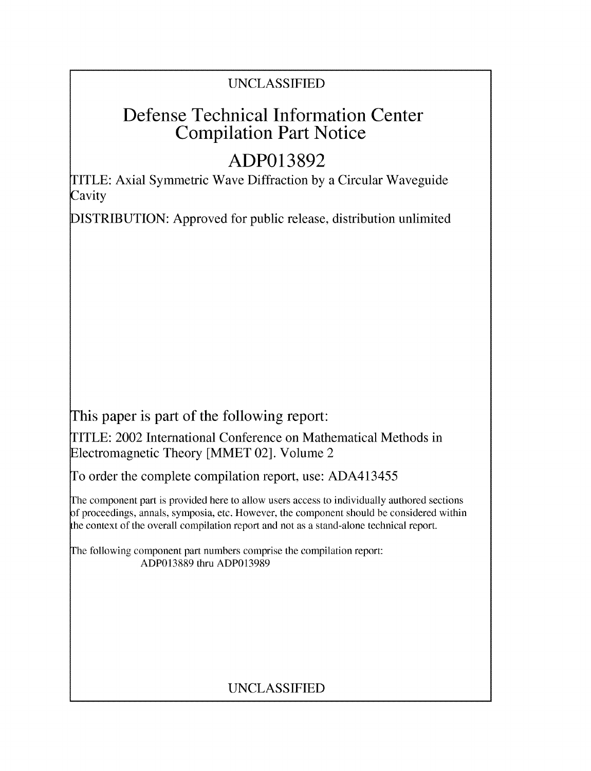### UNCLASSIFIED

## Defense Technical Information Center Compilation Part Notice

# **ADP013892**

TITLE: Axial Symmetric Wave Diffraction by a Circular Waveguide **Cavity** 

DISTRIBUTION: Approved for public release, distribution unlimited

This paper is part of the following report:

TITLE: 2002 International Conference on Mathematical Methods in Electromagnetic Theory [MMET 02]. Volume 2

To order the complete compilation report, use: ADA413455

The component part is provided here to allow users access to individually authored sections f proceedings, annals, symposia, etc. However, the component should be considered within the context of the overall compilation report and not as a stand-alone technical report.

The following component part numbers comprise the compilation report: ADP013889 thru ADP013989

## UNCLASSIFIED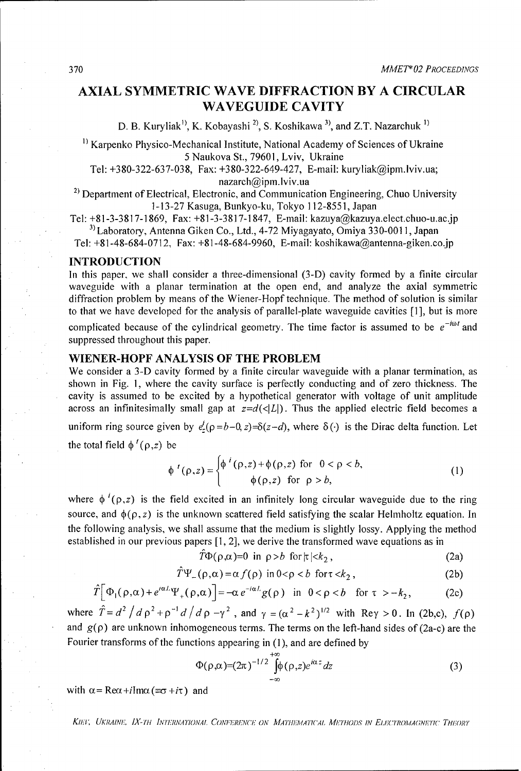### AXIAL SYMMETRIC WAVE DIFFRACTION BY **A** CIRCULAR **WAVEGUIDE** CAVITY

D. B. Kuryliak<sup>1</sup>, K. Kobayashi<sup>2</sup>, S. Koshikawa<sup>3</sup>, and Z.T. Nazarchuk<sup>1)</sup>

<sup>1)</sup> Karpenko Physico-Mechanical Institute, National Academy of Sciences of Ukraine 5 Naukova St., 79601, Lviv, Ukraine

Tel: +380-322-637-038, Fax: +380-322-649-427, E-mail: kuryliak@ipm.lviv.ua;

nazarch@ipm.lviv.ua<br><sup>2)</sup> Department of Electrical, Electronic, and Communication Engineering, Chuo University 1-13-27 Kasuga, Bunkyo-ku, Tokyo 112-8551, Japan

Tel:  $+81-3-3817-1869$ , Fax:  $+81-3-3817-1847$ , E-mail: kazuya@kazuya.elect.chuo-u.ac.jp <sup>3)</sup> Laboratory, Antenna Giken Co., Ltd., 4-72 Miyagayato, Omiya 330-0011, Japan

Tel: +81-48-684-0712, Fax: +81-48-684-9960, E-mail: koshikawa@antenna-giken.co.jp

#### **INTRODUCTION**

In this paper, we shall consider a three-dimensional (3-D) cavity formed by a finite circular waveguide with a planar termination at the open end, and analyze the axial symmetric diffraction problem by means of the Wiener-Hopf technique. The method of solution is similar to that we have developed for the analysis of parallel-plate waveguide cavities [1], but is more

complicated because of the cylindrical geometry. The time factor is assumed to be  $e^{-i\omega t}$  and suppressed throughout this paper.

#### WIENER-HOPF **ANALYSIS** OF THE PROBLEM

We consider a 3-D cavity formed by a finite circular waveguide with a planar termination, as shown in Fig. **1,** where the cavity surface is perfectly conducting and of zero thickness. The cavity is assumed to be excited by a hypothetical generator with voltage of unit amplitude across an infinitesimally small gap at  $z=d(\langle L|)$ . Thus the applied electric field becomes a uniform ring source given by  $e^i(\rho = b-0, z) = \delta(z-d)$ , where  $\delta(\cdot)$  is the Dirac delta function. Let the total field  $\phi'(\rho,z)$  be

$$
\phi'(\rho,z) = \begin{cases} \phi'(\rho,z) + \phi(\rho,z) & \text{for } 0 < \rho < b, \\ \phi(\rho,z) & \text{for } \rho > b, \end{cases}
$$
 (1)

where  $\phi^{i}(\rho, z)$  is the field excited in an infinitely long circular waveguide due to the ring source, and  $\phi(\rho, z)$  is the unknown scattered field satisfying the scalar Helmholtz equation. In the following analysis, we shall assume that the medium is slightly lossy. Applying the method established in our previous papers [1, 2], we derive the transformed wave equations as in

$$
\hat{T}\Phi(\rho,\alpha)=0 \text{ in } \rho>b \text{ for } |\kappa|\n(2a)
$$

$$
\hat{T}\Psi_{-}(\rho,\alpha) = \alpha f(\rho) \text{ in } 0 < \rho < b \text{ for } t < k_2,
$$
\n(2b)

$$
\hat{T} \Big[ \Phi_1(\rho, \alpha) + e^{i\alpha t} \Psi_+(\rho, \alpha) \Big] = -\alpha \, e^{-i\alpha t} g(\rho) \quad \text{in} \quad 0 < \rho < b \quad \text{for} \quad \tau > -k_2,\tag{2c}
$$

where  $\hat{T} = d^2 / d \rho^2 + \rho^{-1} d / d \rho - \gamma^2$ , and  $\gamma = (\alpha^2 - k^2)^{1/2}$  with Rey > 0. In (2b,c),  $f(\rho)$ and  $g(\rho)$  are unknown inhomogeneous terms. The terms on the left-hand sides of (2a-c) are the Fourier transforms of the functions appearing in (1), and are defined by

$$
\Phi(\rho,\alpha)=(2\pi)^{-1/2}\int_{-\infty}^{+\infty}\phi(\rho,z)e^{i\alpha z}dz
$$
\n(3)

with  $\alpha = \text{Re}\alpha + i\text{Im}\alpha$  (= $\sigma + i\tau$ ) and

*Kihi'; UKRAINE, IX-TH* INY7'RNAAIONAI. *CON7';nRhNCh" ON A'IA7HhAIA7'1lCAL APEmTHoiS IN EEc,77OMA(;NI,-flC THiORY*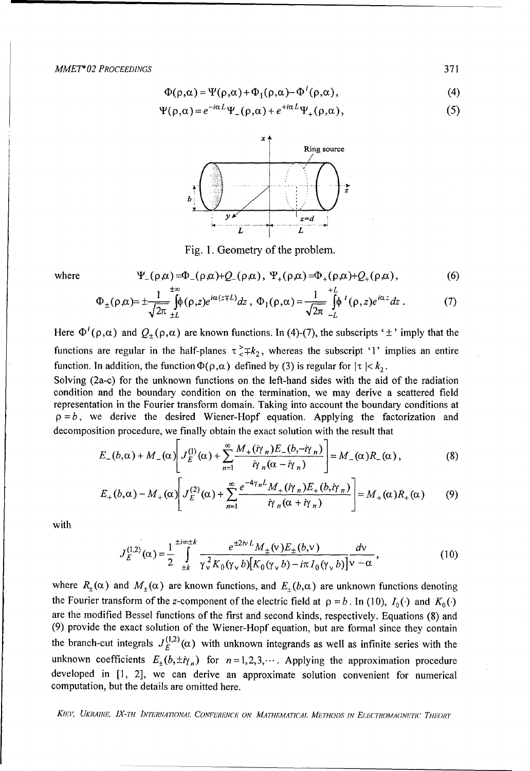$$
\Phi(\rho,\alpha) = \Psi(\rho,\alpha) + \Phi_1(\rho,\alpha) - \Phi^i(\rho,\alpha), \qquad (4)
$$

$$
\Psi(\rho,\alpha) = e^{-i\alpha L} \Psi_{-}(\rho,\alpha) + e^{+i\alpha L} \Psi_{+}(\rho,\alpha), \qquad (5)
$$



Fig. 1. Geometry of the problem.

where 
$$
\Psi_{-}(\rho,\alpha)=\Phi_{-}(\rho,\alpha)+Q_{-}(\rho,\alpha), \ \Psi_{+}(\rho,\alpha)=\Phi_{+}(\rho,\alpha)+Q_{+}(\rho,\alpha),
$$
 (6)

$$
\Phi_{\pm}(\rho,\alpha) = \pm \frac{1}{\sqrt{2\pi}} \int_{\pm L}^{\infty} (\rho,z) e^{i\alpha(z \mp L)} dz , \ \Phi_1(\rho,\alpha) = \frac{1}{\sqrt{2\pi}} \int_{-L}^{+L} (\rho,z) e^{i\alpha z} dz . \tag{7}
$$

Here  $\Phi^i(\rho,\alpha)$  and  $Q_+(\rho,\alpha)$  are known functions. In (4)-(7), the subscripts ' $\pm$ ' imply that the functions are regular in the half-planes  $\tau^2 + k_2$ , whereas the subscript '1' implies an entire function. In addition, the function  $\Phi(\rho,\alpha)$  defined by (3) is regular for  $|\tau| < k_2$ .

Solving (2a-c) for the unknown functions on the left-hand sides with the aid of the radiation condition and the boundary condition on the termination, we may derive a scattered field representation in the Fourier transform domain. Taking into account the boundary conditions at  $p = b$ , we derive the desired Wiener-Hopf equation. Applying the factorization and decomposition procedure, we finally obtain the exact solution with the result that

$$
E_{-}(b,\alpha)+M_{-}(\alpha)\left[J_{E}^{(1)}(\alpha)+\sum_{n=1}^{\infty}\frac{M_{+}(i\gamma_{n})E_{-}(b,-i\gamma_{n})}{i\gamma_{n}(\alpha-i\gamma_{n})}\right]=M_{-}(\alpha)R_{-}(\alpha), \qquad (8)
$$

$$
E_{+}(b,\alpha)-M_{+}(\alpha)\left[J_{E}^{(2)}(\alpha)+\sum_{n=1}^{\infty}\frac{e^{-4\gamma_{n}L}M_{+}(\dot{\eta}\gamma_{n})E_{+}(b,\dot{\eta}\gamma_{n})}{\dot{\eta}\gamma_{n}(\alpha+\dot{\eta}\gamma_{n})}\right]=M_{+}(\alpha)R_{+}(\alpha) \qquad (9)
$$

with

$$
J_E^{(1,2)}(\alpha) = \frac{1}{2} \int_{-L}^{L/\alpha + L} \frac{e^{\pm 2\kappa L} M_{\pm}(\nu) E_{\pm}(b,\nu)}{\gamma_v^2 K_0(\gamma_v b) [K_0(\gamma_v b) - i\pi I_0(\gamma_v b)] \nu - \alpha},
$$
(10)

where  $R_+(\alpha)$  and  $M_+(\alpha)$  are known functions, and  $E_+(b,\alpha)$  are unknown functions denoting the Fourier transform of the z-component of the electric field at  $\rho = b$ . In (10),  $I_0(\cdot)$  and  $K_0(\cdot)$ are the modified Bessel functions of the first and second kinds, respectively. Equations (8) and (9) provide the exact solution of the Wiener-Hopf equation, but are formal since they contain the branch-cut integrals  $J_E^{(1,2)}(\alpha)$  with unknown integrands as well as infinite series with the unknown coefficients  $E_{\pm}(b,\pm i\gamma_n)$  for  $n=1,2,3,...$  Applying the approximation procedure developed in [1, 2], we can derive an approximate solution convenient for numerical computation, but the details are omitted here.

KIEV, UKRAINE, IX-TH INTERNATIONAL CONFERENCE ON MATHEMATICAL METHODS IN ELECTROMAGNETIC THEORY